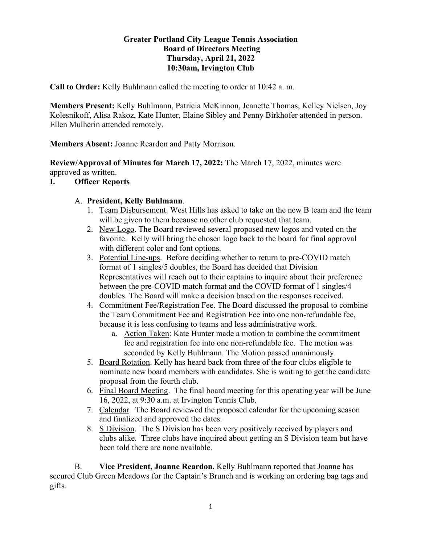### **Greater Portland City League Tennis Association Board of Directors Meeting Thursday, April 21, 2022 10:30am, Irvington Club**

**Call to Order:** Kelly Buhlmann called the meeting to order at 10:42 a. m.

**Members Present:** Kelly Buhlmann, Patricia McKinnon, Jeanette Thomas, Kelley Nielsen, Joy Kolesnikoff, Alisa Rakoz, Kate Hunter, Elaine Sibley and Penny Birkhofer attended in person. Ellen Mulherin attended remotely.

**Members Absent:** Joanne Reardon and Patty Morrison.

**Review/Approval of Minutes for March 17, 2022:** The March 17, 2022, minutes were approved as written.

**I. Officer Reports**

### A. **President, Kelly Buhlmann**.

- 1. Team Disbursement. West Hills has asked to take on the new B team and the team will be given to them because no other club requested that team.
- 2. New Logo. The Board reviewed several proposed new logos and voted on the favorite. Kelly will bring the chosen logo back to the board for final approval with different color and font options.
- 3. Potential Line-ups. Before deciding whether to return to pre-COVID match format of 1 singles/5 doubles, the Board has decided that Division Representatives will reach out to their captains to inquire about their preference between the pre-COVID match format and the COVID format of 1 singles/4 doubles. The Board will make a decision based on the responses received.
- 4. Commitment Fee/Registration Fee. The Board discussed the proposal to combine the Team Commitment Fee and Registration Fee into one non-refundable fee, because it is less confusing to teams and less administrative work.
	- a. Action Taken: Kate Hunter made a motion to combine the commitment fee and registration fee into one non-refundable fee. The motion was seconded by Kelly Buhlmann. The Motion passed unanimously.
- 5. Board Rotation. Kelly has heard back from three of the four clubs eligible to nominate new board members with candidates. She is waiting to get the candidate proposal from the fourth club.
- 6. Final Board Meeting. The final board meeting for this operating year will be June 16, 2022, at 9:30 a.m. at Irvington Tennis Club.
- 7. Calendar. The Board reviewed the proposed calendar for the upcoming season and finalized and approved the dates.
- 8. S Division. The S Division has been very positively received by players and clubs alike. Three clubs have inquired about getting an S Division team but have been told there are none available.

B. **Vice President, Joanne Reardon.** Kelly Buhlmann reported that Joanne has secured Club Green Meadows for the Captain's Brunch and is working on ordering bag tags and gifts.